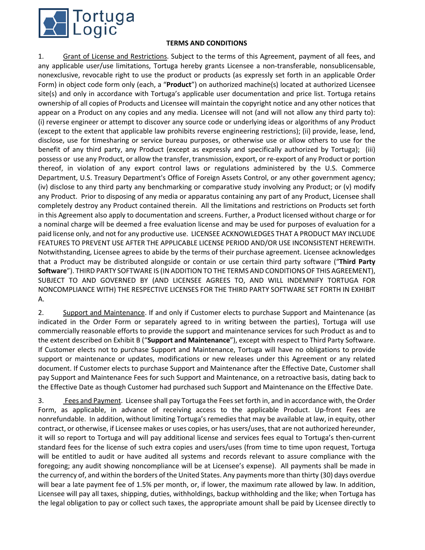

### **TERMS AND CONDITIONS**

1. Grant of License and Restrictions. Subject to the terms of this Agreement, payment of all fees, and any applicable user/use limitations, Tortuga hereby grants Licensee a non-transferable, nonsublicensable, nonexclusive, revocable right to use the product or products (as expressly set forth in an applicable Order Form) in object code form only (each, a "**Product**") on authorized machine(s) located at authorized Licensee site(s) and only in accordance with Tortuga's applicable user documentation and price list. Tortuga retains ownership of all copies of Products and Licensee will maintain the copyright notice and any other notices that appear on a Product on any copies and any media. Licensee will not (and will not allow any third party to): (i) reverse engineer or attempt to discover any source code or underlying ideas or algorithms of any Product (except to the extent that applicable law prohibits reverse engineering restrictions); (ii) provide, lease, lend, disclose, use for timesharing or service bureau purposes, or otherwise use or allow others to use for the benefit of any third party, any Product (except as expressly and specifically authorized by Tortuga); (iii) possess or use any Product, or allow the transfer, transmission, export, or re-export of any Product or portion thereof, in violation of any export control laws or regulations administered by the U.S. Commerce Department, U.S. Treasury Department's Office of Foreign Assets Control, or any other government agency; (iv) disclose to any third party any benchmarking or comparative study involving any Product; or (v) modify any Product. Prior to disposing of any media or apparatus containing any part of any Product, Licensee shall completely destroy any Product contained therein. All the limitations and restrictions on Products set forth in this Agreement also apply to documentation and screens. Further, a Product licensed without charge or for a nominal charge will be deemed a free evaluation license and may be used for purposes of evaluation for a paid license only, and not for any productive use. LICENSEE ACKNOWLEDGES THAT A PRODUCT MAY INCLUDE FEATURES TO PREVENT USE AFTER THE APPLICABLE LICENSE PERIOD AND/OR USE INCONSISTENT HEREWITH. Notwithstanding, Licensee agrees to abide by the terms of their purchase agreement. Licensee acknowledges that a Product may be distributed alongside or contain or use certain third party software ("**Third Party Software**"). THIRD PARTY SOFTWARE IS (IN ADDITION TO THE TERMS AND CONDITIONS OF THIS AGREEMENT), SUBJECT TO AND GOVERNED BY (AND LICENSEE AGREES TO, AND WILL INDEMNIFY TORTUGA FOR NONCOMPLIANCE WITH) THE RESPECTIVE LICENSES FOR THE THIRD PARTY SOFTWARE SET FORTH IN EXHIBIT A.

2. Support and Maintenance. If and only if Customer elects to purchase Support and Maintenance (as indicated in the Order Form or separately agreed to in writing between the parties), Tortuga will use commercially reasonable efforts to provide the support and maintenance services for such Product as and to the extent described on Exhibit B ("**Support and Maintenance**"), except with respect to Third Party Software. If Customer elects not to purchase Support and Maintenance, Tortuga will have no obligations to provide support or maintenance or updates, modifications or new releases under this Agreement or any related document. If Customer elects to purchase Support and Maintenance after the Effective Date, Customer shall pay Support and Maintenance Fees for such Support and Maintenance, on a retroactive basis, dating back to the Effective Date as though Customer had purchased such Support and Maintenance on the Effective Date.

3. Fees and Payment. Licensee shall pay Tortuga the Fees set forth in, and in accordance with, the Order Form, as applicable, in advance of receiving access to the applicable Product. Up-front Fees are nonrefundable. In addition, without limiting Tortuga's remedies that may be available at law, in equity, other contract, or otherwise, if Licensee makes or uses copies, or has users/uses, that are not authorized hereunder, it will so report to Tortuga and will pay additional license and services fees equal to Tortuga's then-current standard fees for the license of such extra copies and users/uses (from time to time upon request, Tortuga will be entitled to audit or have audited all systems and records relevant to assure compliance with the foregoing; any audit showing noncompliance will be at Licensee's expense). All payments shall be made in the currency of, and within the borders of the United States. Any payments more than thirty (30) days overdue will bear a late payment fee of 1.5% per month, or, if lower, the maximum rate allowed by law. In addition, Licensee will pay all taxes, shipping, duties, withholdings, backup withholding and the like; when Tortuga has the legal obligation to pay or collect such taxes, the appropriate amount shall be paid by Licensee directly to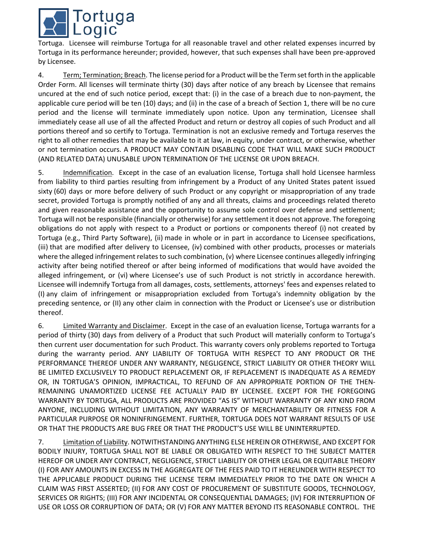

Tortuga. Licensee will reimburse Tortuga for all reasonable travel and other related expenses incurred by Tortuga in its performance hereunder; provided, however, that such expenses shall have been pre-approved by Licensee.

4. Term; Termination; Breach. The license period for a Product will be the Term set forth in the applicable Order Form. All licenses will terminate thirty (30) days after notice of any breach by Licensee that remains uncured at the end of such notice period, except that: (i) in the case of a breach due to non-payment, the applicable cure period will be ten (10) days; and (ii) in the case of a breach of Section 1, there will be no cure period and the license will terminate immediately upon notice. Upon any termination, Licensee shall immediately cease all use of all the affected Product and return or destroy all copies of such Product and all portions thereof and so certify to Tortuga. Termination is not an exclusive remedy and Tortuga reserves the right to all other remedies that may be available to it at law, in equity, under contract, or otherwise, whether or not termination occurs. A PRODUCT MAY CONTAIN DISABLING CODE THAT WILL MAKE SUCH PRODUCT (AND RELATED DATA) UNUSABLE UPON TERMINATION OF THE LICENSE OR UPON BREACH.

5. Indemnification. Except in the case of an evaluation license, Tortuga shall hold Licensee harmless from liability to third parties resulting from infringement by a Product of any United States patent issued sixty (60) days or more before delivery of such Product or any copyright or misappropriation of any trade secret, provided Tortuga is promptly notified of any and all threats, claims and proceedings related thereto and given reasonable assistance and the opportunity to assume sole control over defense and settlement; Tortuga will not be responsible (financially or otherwise) for any settlement it does not approve. The foregoing obligations do not apply with respect to a Product or portions or components thereof (i) not created by Tortuga (e.g., Third Party Software), (ii) made in whole or in part in accordance to Licensee specifications, (iii) that are modified after delivery to Licensee, (iv) combined with other products, processes or materials where the alleged infringement relates to such combination, (v) where Licensee continues allegedly infringing activity after being notified thereof or after being informed of modifications that would have avoided the alleged infringement, or (vi) where Licensee's use of such Product is not strictly in accordance herewith. Licensee will indemnify Tortuga from all damages, costs, settlements, attorneys' fees and expenses related to (I) any claim of infringement or misappropriation excluded from Tortuga's indemnity obligation by the preceding sentence, or (II) any other claim in connection with the Product or Licensee's use or distribution thereof.

6. Limited Warranty and Disclaimer. Except in the case of an evaluation license, Tortuga warrants for a period of thirty (30) days from delivery of a Product that such Product will materially conform to Tortuga's then current user documentation for such Product. This warranty covers only problems reported to Tortuga during the warranty period. ANY LIABILITY OF TORTUGA WITH RESPECT TO ANY PRODUCT OR THE PERFORMANCE THEREOF UNDER ANY WARRANTY, NEGLIGENCE, STRICT LIABILITY OR OTHER THEORY WILL BE LIMITED EXCLUSIVELY TO PRODUCT REPLACEMENT OR, IF REPLACEMENT IS INADEQUATE AS A REMEDY OR, IN TORTUGA'S OPINION, IMPRACTICAL, TO REFUND OF AN APPROPRIATE PORTION OF THE THEN-REMAINING UNAMORTIZED LICENSE FEE ACTUALLY PAID BY LICENSEE. EXCEPT FOR THE FOREGOING WARRANTY BY TORTUGA, ALL PRODUCTS ARE PROVIDED "AS IS" WITHOUT WARRANTY OF ANY KIND FROM ANYONE, INCLUDING WITHOUT LIMITATION, ANY WARRANTY OF MERCHANTABILITY OR FITNESS FOR A PARTICULAR PURPOSE OR NONINFRINGEMENT. FURTHER, TORTUGA DOES NOT WARRANT RESULTS OF USE OR THAT THE PRODUCTS ARE BUG FREE OR THAT THE PRODUCT'S USE WILL BE UNINTERRUPTED.

7. Limitation of Liability. NOTWITHSTANDING ANYTHING ELSE HEREIN OR OTHERWISE, AND EXCEPT FOR BODILY INJURY, TORTUGA SHALL NOT BE LIABLE OR OBLIGATED WITH RESPECT TO THE SUBJECT MATTER HEREOF OR UNDER ANY CONTRACT, NEGLIGENCE, STRICT LIABILITY OR OTHER LEGAL OR EQUITABLE THEORY (I) FOR ANY AMOUNTS IN EXCESS IN THE AGGREGATE OF THE FEES PAID TO IT HEREUNDER WITH RESPECT TO THE APPLICABLE PRODUCT DURING THE LICENSE TERM IMMEDIATELY PRIOR TO THE DATE ON WHICH A CLAIM WAS FIRST ASSERTED; (II) FOR ANY COST OF PROCUREMENT OF SUBSTITUTE GOODS, TECHNOLOGY, SERVICES OR RIGHTS; (III) FOR ANY INCIDENTAL OR CONSEQUENTIAL DAMAGES; (IV) FOR INTERRUPTION OF USE OR LOSS OR CORRUPTION OF DATA; OR (V) FOR ANY MATTER BEYOND ITS REASONABLE CONTROL. THE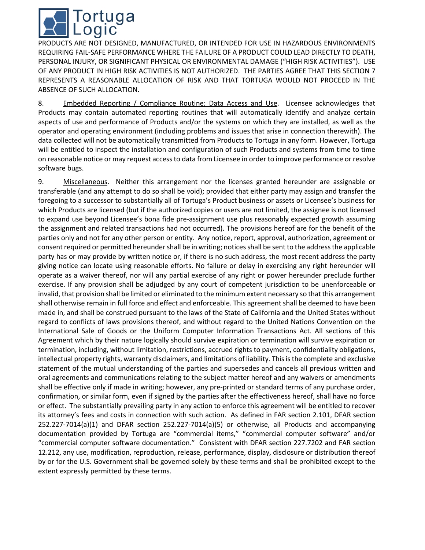

PRODUCTS ARE NOT DESIGNED, MANUFACTURED, OR INTENDED FOR USE IN HAZARDOUS ENVIRONMENTS REQUIRING FAIL-SAFE PERFORMANCE WHERE THE FAILURE OF A PRODUCT COULD LEAD DIRECTLY TO DEATH, PERSONAL INJURY, OR SIGNIFICANT PHYSICAL OR ENVIRONMENTAL DAMAGE ("HIGH RISK ACTIVITIES"). USE OF ANY PRODUCT IN HIGH RISK ACTIVITIES IS NOT AUTHORIZED. THE PARTIES AGREE THAT THIS SECTION 7 REPRESENTS A REASONABLE ALLOCATION OF RISK AND THAT TORTUGA WOULD NOT PROCEED IN THE ABSENCE OF SUCH ALLOCATION.

8. Embedded Reporting / Compliance Routine; Data Access and Use. Licensee acknowledges that Products may contain automated reporting routines that will automatically identify and analyze certain aspects of use and performance of Products and/or the systems on which they are installed, as well as the operator and operating environment (including problems and issues that arise in connection therewith). The data collected will not be automatically transmitted from Products to Tortuga in any form. However, Tortuga will be entitled to inspect the installation and configuration of such Products and systems from time to time on reasonable notice or may request access to data from Licensee in order to improve performance or resolve software bugs.

9. Miscellaneous. Neither this arrangement nor the licenses granted hereunder are assignable or transferable (and any attempt to do so shall be void); provided that either party may assign and transfer the foregoing to a successor to substantially all of Tortuga's Product business or assets or Licensee's business for which Products are licensed (but if the authorized copies or users are not limited, the assignee is not licensed to expand use beyond Licensee's bona fide pre-assignment use plus reasonably expected growth assuming the assignment and related transactions had not occurred). The provisions hereof are for the benefit of the parties only and not for any other person or entity. Any notice, report, approval, authorization, agreement or consent required or permitted hereunder shall be in writing; notices shall be sent to the address the applicable party has or may provide by written notice or, if there is no such address, the most recent address the party giving notice can locate using reasonable efforts. No failure or delay in exercising any right hereunder will operate as a waiver thereof, nor will any partial exercise of any right or power hereunder preclude further exercise. If any provision shall be adjudged by any court of competent jurisdiction to be unenforceable or invalid, that provision shall be limited or eliminated to the minimum extent necessary so that this arrangement shall otherwise remain in full force and effect and enforceable. This agreement shall be deemed to have been made in, and shall be construed pursuant to the laws of the State of California and the United States without regard to conflicts of laws provisions thereof, and without regard to the United Nations Convention on the International Sale of Goods or the Uniform Computer Information Transactions Act. All sections of this Agreement which by their nature logically should survive expiration or termination will survive expiration or termination, including, without limitation, restrictions, accrued rights to payment, confidentiality obligations, intellectual property rights, warranty disclaimers, and limitations of liability. This is the complete and exclusive statement of the mutual understanding of the parties and supersedes and cancels all previous written and oral agreements and communications relating to the subject matter hereof and any waivers or amendments shall be effective only if made in writing; however, any pre-printed or standard terms of any purchase order, confirmation, or similar form, even if signed by the parties after the effectiveness hereof, shall have no force or effect. The substantially prevailing party in any action to enforce this agreement will be entitled to recover its attorney's fees and costs in connection with such action. As defined in FAR section 2.101, DFAR section 252.227-7014(a)(1) and DFAR section 252.227-7014(a)(5) or otherwise, all Products and accompanying documentation provided by Tortuga are "commercial items," "commercial computer software" and/or "commercial computer software documentation." Consistent with DFAR section 227.7202 and FAR section 12.212, any use, modification, reproduction, release, performance, display, disclosure or distribution thereof by or for the U.S. Government shall be governed solely by these terms and shall be prohibited except to the extent expressly permitted by these terms.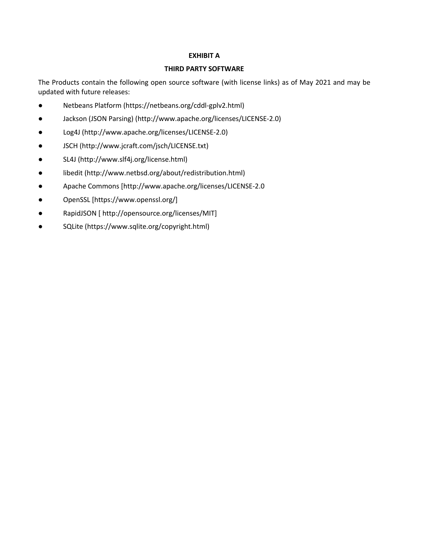### **EXHIBIT A**

## **THIRD PARTY SOFTWARE**

The Products contain the following open source software (with license links) as of May 2021 and may be updated with future releases:

- Netbeans Platform (https://netbeans.org/cddl-gplv2.html)
- Jackson (JSON Parsing) (http://www.apache.org/licenses/LICENSE-2.0)
- Log4J (http://www.apache.org/licenses/LICENSE-2.0)
- JSCH (http://www.jcraft.com/jsch/LICENSE.txt)
- SL4J (http://www.slf4j.org/license.html)
- libedit (http://www.netbsd.org/about/redistribution.html)
- Apache Commons [http://www.apache.org/licenses/LICENSE-2.0
- OpenSSL [https://www.openssl.org/]
- RapidJSON [ http://opensource.org/licenses/MIT]
- SQLite (https://www.sqlite.org/copyright.html)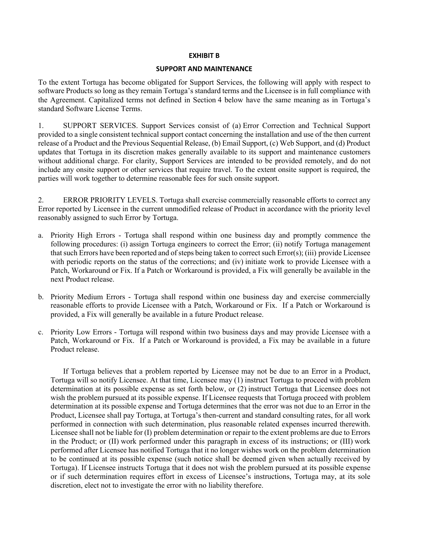#### **EXHIBIT B**

#### **SUPPORT AND MAINTENANCE**

To the extent Tortuga has become obligated for Support Services, the following will apply with respect to software Products so long as they remain Tortuga's standard terms and the Licensee is in full compliance with the Agreement. Capitalized terms not defined in Section 4 below have the same meaning as in Tortuga's standard Software License Terms.

1. SUPPORT SERVICES. Support Services consist of (a) Error Correction and Technical Support provided to a single consistent technical support contact concerning the installation and use of the then current release of a Product and the Previous Sequential Release, (b) Email Support, (c) Web Support, and (d) Product updates that Tortuga in its discretion makes generally available to its support and maintenance customers without additional charge. For clarity, Support Services are intended to be provided remotely, and do not include any onsite support or other services that require travel. To the extent onsite support is required, the parties will work together to determine reasonable fees for such onsite support.

2. ERROR PRIORITY LEVELS. Tortuga shall exercise commercially reasonable efforts to correct any Error reported by Licensee in the current unmodified release of Product in accordance with the priority level reasonably assigned to such Error by Tortuga.

- a. Priority High Errors Tortuga shall respond within one business day and promptly commence the following procedures: (i) assign Tortuga engineers to correct the Error; (ii) notify Tortuga management that such Errors have been reported and of steps being taken to correct such Error(s); (iii) provide Licensee with periodic reports on the status of the corrections; and (iv) initiate work to provide Licensee with a Patch, Workaround or Fix. If a Patch or Workaround is provided, a Fix will generally be available in the next Product release.
- b. Priority Medium Errors Tortuga shall respond within one business day and exercise commercially reasonable efforts to provide Licensee with a Patch, Workaround or Fix. If a Patch or Workaround is provided, a Fix will generally be available in a future Product release.
- c. Priority Low Errors Tortuga will respond within two business days and may provide Licensee with a Patch, Workaround or Fix. If a Patch or Workaround is provided, a Fix may be available in a future Product release.

If Tortuga believes that a problem reported by Licensee may not be due to an Error in a Product, Tortuga will so notify Licensee. At that time, Licensee may (1) instruct Tortuga to proceed with problem determination at its possible expense as set forth below, or (2) instruct Tortuga that Licensee does not wish the problem pursued at its possible expense. If Licensee requests that Tortuga proceed with problem determination at its possible expense and Tortuga determines that the error was not due to an Error in the Product, Licensee shall pay Tortuga, at Tortuga's then-current and standard consulting rates, for all work performed in connection with such determination, plus reasonable related expenses incurred therewith. Licensee shall not be liable for (I) problem determination or repair to the extent problems are due to Errors in the Product; or (II) work performed under this paragraph in excess of its instructions; or (III) work performed after Licensee has notified Tortuga that it no longer wishes work on the problem determination to be continued at its possible expense (such notice shall be deemed given when actually received by Tortuga). If Licensee instructs Tortuga that it does not wish the problem pursued at its possible expense or if such determination requires effort in excess of Licensee's instructions, Tortuga may, at its sole discretion, elect not to investigate the error with no liability therefore.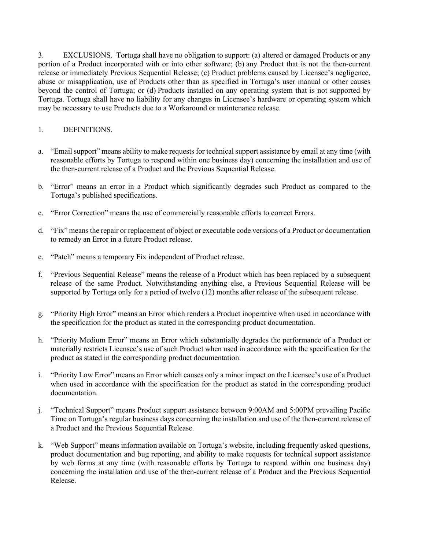3. EXCLUSIONS. Tortuga shall have no obligation to support: (a) altered or damaged Products or any portion of a Product incorporated with or into other software; (b) any Product that is not the then-current release or immediately Previous Sequential Release; (c) Product problems caused by Licensee's negligence, abuse or misapplication, use of Products other than as specified in Tortuga's user manual or other causes beyond the control of Tortuga; or (d) Products installed on any operating system that is not supported by Tortuga. Tortuga shall have no liability for any changes in Licensee's hardware or operating system which may be necessary to use Products due to a Workaround or maintenance release.

## 1. DEFINITIONS.

- a. "Email support" means ability to make requests for technical support assistance by email at any time (with reasonable efforts by Tortuga to respond within one business day) concerning the installation and use of the then-current release of a Product and the Previous Sequential Release.
- b. "Error" means an error in a Product which significantly degrades such Product as compared to the Tortuga's published specifications.
- c. "Error Correction" means the use of commercially reasonable efforts to correct Errors.
- d. "Fix" means the repair or replacement of object or executable code versions of a Product or documentation to remedy an Error in a future Product release.
- e. "Patch" means a temporary Fix independent of Product release.
- f. "Previous Sequential Release" means the release of a Product which has been replaced by a subsequent release of the same Product. Notwithstanding anything else, a Previous Sequential Release will be supported by Tortuga only for a period of twelve (12) months after release of the subsequent release.
- g. "Priority High Error" means an Error which renders a Product inoperative when used in accordance with the specification for the product as stated in the corresponding product documentation.
- h. "Priority Medium Error" means an Error which substantially degrades the performance of a Product or materially restricts Licensee's use of such Product when used in accordance with the specification for the product as stated in the corresponding product documentation.
- i. "Priority Low Error" means an Error which causes only a minor impact on the Licensee's use of a Product when used in accordance with the specification for the product as stated in the corresponding product documentation.
- j. "Technical Support" means Product support assistance between 9:00AM and 5:00PM prevailing Pacific Time on Tortuga's regular business days concerning the installation and use of the then-current release of a Product and the Previous Sequential Release.
- k. "Web Support" means information available on Tortuga's website, including frequently asked questions, product documentation and bug reporting, and ability to make requests for technical support assistance by web forms at any time (with reasonable efforts by Tortuga to respond within one business day) concerning the installation and use of the then-current release of a Product and the Previous Sequential Release.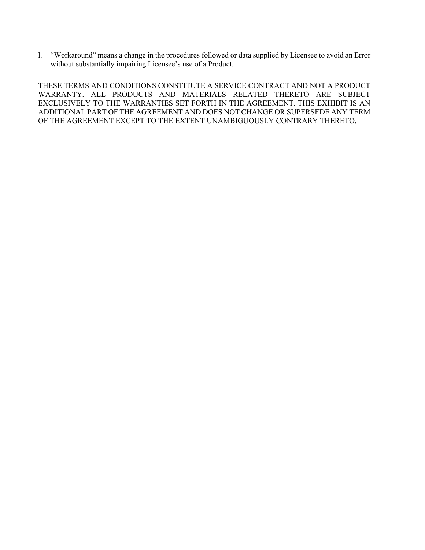l. "Workaround" means a change in the procedures followed or data supplied by Licensee to avoid an Error without substantially impairing Licensee's use of a Product.

THESE TERMS AND CONDITIONS CONSTITUTE A SERVICE CONTRACT AND NOT A PRODUCT WARRANTY. ALL PRODUCTS AND MATERIALS RELATED THERETO ARE SUBJECT EXCLUSIVELY TO THE WARRANTIES SET FORTH IN THE AGREEMENT. THIS EXHIBIT IS AN ADDITIONAL PART OF THE AGREEMENT AND DOES NOT CHANGE OR SUPERSEDE ANY TERM OF THE AGREEMENT EXCEPT TO THE EXTENT UNAMBIGUOUSLY CONTRARY THERETO.